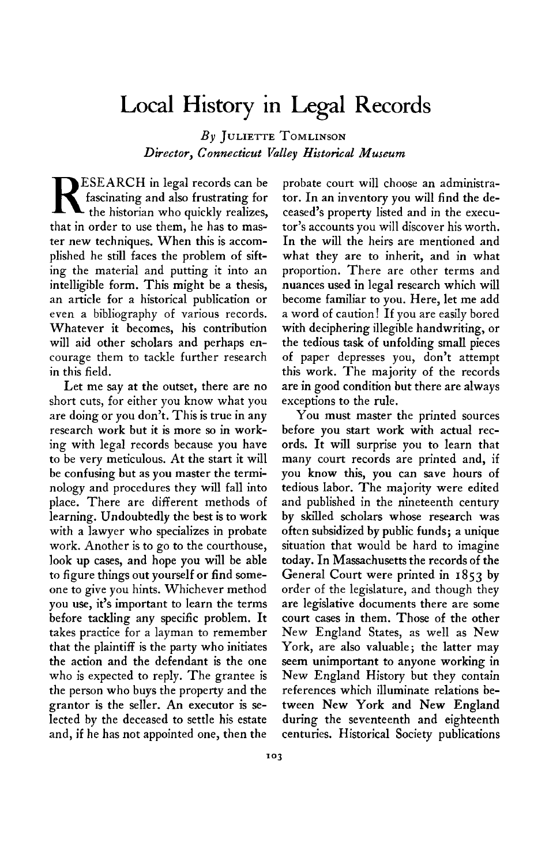## **Local History in Legal Records**

**By JULIETTE TOMLINSON**  $Director, Connecticut~ Valley~ Historical~ Museum$ 

**ESEARCH** in legal records can be fascinating and also frustrating for the historian who quickly realizes, **that in order to use them, he has to master new techniques. When this is accomplished he still faces the problem of sifting the material and putting it into an intelligible form. This might be a thesis, an article for a historical publication or even a bibliography of various records. Whatever it becomes, his contribution will aid other scholars and perhaps encourage them to tackle further research in this field.** 

**Let me say at the outset, there are no short cuts, for either you know what you are doing or you don't. This is true in any research work but it is more so in working with legal records because you have to be very meticulous. At the start it will be confusing but as you master the terminology and procedures they will fall into place. There are different methods of learning. Undoubtedly the best is to work with a lawyer who specializes in probate work. Another is to go to the courthouse, look up cases, and hope you will be able to figure things out yourself or find someone to give you hints. Whichever method you use, it's important to learn the terms before tackling any specific problem. It takes practice for a layman to remember that the plaintiff is the party who initiates the action and the defendant is the one who is expected to reply. The grantee is the person who buys the property and the grantor is the seller. An executor is selected by the deceased to settle his estate and, if he has not appointed one, then the** 

**probate court will choose an administrator. In an inventory you will find the deceased's property listed and in the executor's accounts you will discover his worth. In the will the heirs are mentioned and what they are to inherit, and in what proportion. There are other terms and nuances used in legal research which will become familiar to you. Here, let me add a word of caution! If you are easily bored with deciphering illegible handwriting, or the tedious task of unfolding small pieces of paper depresses you, don't attempt this work. The majority of the records are in good condition but there are always exceptions to the rule.** 

**You must master the printed sources before you start work with actual records. It will surprise you to learn that many court records are printed and, if you know this, you can save hours of tedious labor. The majority were edited and published in the nineteenth century by skiled scholars whose research was often subsidized by public funds; a unique situation that would be hard to imagine today. In Massachusetts the records of the General Court were printed in 1853 by order of the legislature, and though they are legislative documents there are some court cases in them. Those of the other New England States, as well as New York, are also valuable; the latter may seem unimportant to anyone working in New England History but they contain references which illuminate relations between New York and New England during the seventeenth and eighteenth centuries. Historical Society publications**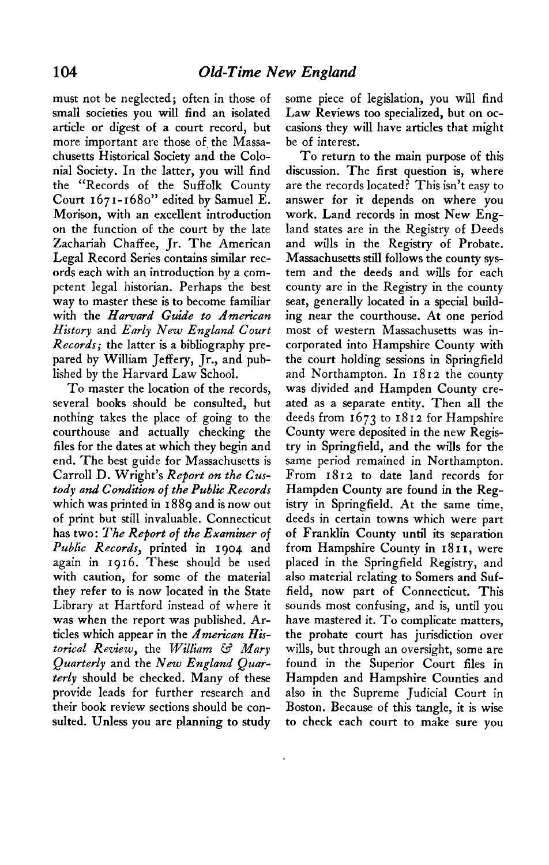**must not be neglected; often in those of small societies you will find an isolated article or digest of a court record, but**  more important are those of the Massa**chusetts Historical Society and the Colonial Society. In the latter, you will find the "Records of the Suffolk County Court 1671-1680" edited by Samuel E. Morison, with an excellent introduction on the function of the court by the late Zachariah Chaffee, Jr. The American Legal Record Series contains similar records each with an introduction by a competent legal historian. Perhaps the best way to master these is to become familiar with the Harvard Guide to American History and Early New England Court Records; the latter is a bibliography prepared by William Jeffery, Jr., and published by the Harvard Law School,** 

**To master the location of the records, several books should be consulted, but nothing takes the place of going to the courthouse and actually checking the files for the dates at which they begin and end. The best guide for Massachusetts is Carroll D. Wright's Report on the Custody and Condition of the Public Records which was printed in I 889 and is now out of print but still invaluable. Connecticut has two: The Report of the Examiner of Public Records, printed in 1904 and again in 19 I 6. These should be used with caution, for some of the material they refer to is now located in the State Library at Hartford instead of where it was when the report was published. Articles which appear in the American Historical Review, the William & Mary QuarterLy and the New England Quarterly should be checked. Many of these provide leads for further research and their book review sections should be consulted. Unless you are planning to study** 

**some piece of legislation, you will find Law Reviews too specialized, but on occasions they will have articles that might be of interest.** 

**To return to the main purpose of this discussion. The first question is, where are the records located? This isn't easy to answer for it depends on where you work. Land records in most New England states are in the Registry of Deeds and wills in the Registry of Probate. Massachusetts still follows the county system and the deeds and wills for each county are in the Registry in the county seat, generally located in a special building near the courthouse. At one period most of western Massachusetts was incorporated into Hampshire County with the court holding sessions in Springfield**  and Northampton. In 1812 the county **was divided and Hampden County created as a separate entity. Then all the deeds from 1673 to 1812 for Hampshire County were deposited in the new Registry in Springfield, and the wills for the same period remained in Northampton.**  From 1812 to date land records for **Hampden County are found in the Registry in Springfield. At the same time, deeds in certain towns which were part of Franklin County until its separation from Hampshire County in I 8 I I, were placed in the Springfield Registry, and also material relating to Somers and Suffield, now part of Connecticut. This sounds most confusing, and is, until you have mastered it. To complicate matters, the probate court has jurisdiction over wills, but through an oversight, some are found in the Superior Court files in Hampden and Hampshire Counties and also in the Supreme Judicial Court in Boston. Because of this tangle, it is wise to check each court to make sure you**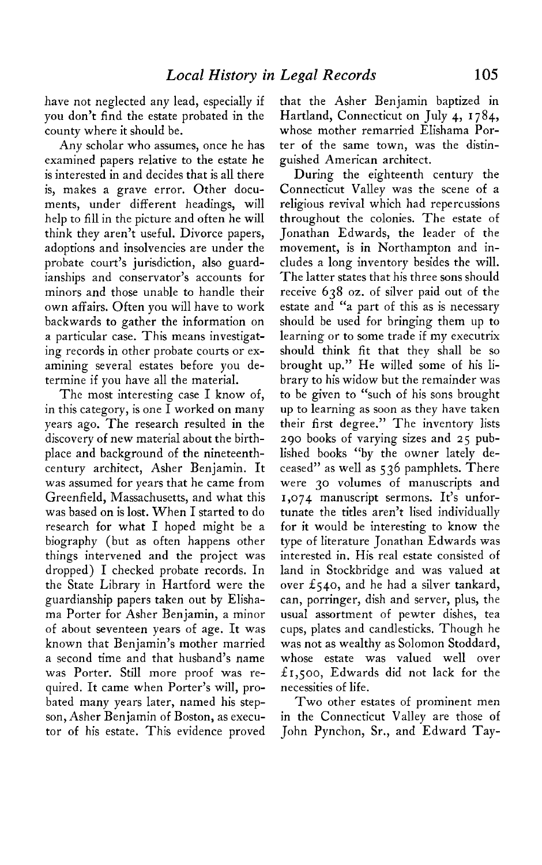**have not neglected any lead, especially if you don't find the estate probated in the county where it should be.** 

**Any scholar who assumes, once he has examined papers relative to the estate he is interested in and decides that is all there is, makes a grave error. Other documents, under different headings, will help to fill in the picture and often he will think they aren't useful. Divorce papers, adoptions and insolvencies are under the probate court's jurisdiction, also guardianships and conservator's accounts for minors and those unable to handle their own affairs. Often you will have to work backwards to gather the information on a particular case. This means investigating records in other probate courts or examining several estates before you determine if you have all the material.** 

**The most interesting case I know of, in this category, is one I worked on many years ago. The research resulted in the discovery of new material about the birthplace and background of the nineteenthcentury architect, Asher Benjamin. It was assumed for years that he came from Greenfield, Massachusetts, and what this was based on is lost. When I started to do research for what I hoped might be a biography (but as often happens other things intervened and the project was dropped) I checked probate records. In the State Library in Hartford were the guardianship papers taken out by Elishama Porter for Asher Benjamin, a minor of about seventeen years of age. It was known that Benjamin's mother married a second time and that husband's name was Porter. Still more proof was required. It came when Porter's will, probated many years later, named his stepson, Asher Benjamin of Boston, as executor of his estate. This evidence proved**  **that the Asher Benjamin baptized in Hartland, Connecticut on July 4, 1784, whose mother remarried Elishama Porter of the same town, was the distinguished American architect.** 

**During the eighteenth century the Connecticut Valley was the scene of a religious revival which had repercussions throughout the colonies. The estate of Jonathan Edwards, the leader of the movement, is in Northampton and includes a long inventory besides the will. The latter states that his three sons should receive 638 oz. of silver paid out of the estate and "a part of this as is necessary should be used for bringing them up to learning or to some trade if my executrix should think fit that they shall be so brought up." He willed some of his library to his widow but the remainder was to be given to "such of his sons brought up to learning as soon as they have taken their first degree." The inventory lists 290 books of varying sizes and 25 published books "by the owner lately deceased" as well as 536 pamphlets. There were 30 volumes of manuscripts and 1,074 manuscript sermons. It's unfortunate the titles aren't lised individually for it would be interesting to know the type of literature Jonathan Edwards was interested in. His real estate consisted of land in Stockbridge and was valued at over f540, and he had a silver tankard, can, porringer, dish and server, plus, the usual assortment of pewter dishes, tea cups, plates and candlesticks. Though he was not as wealthy as Solomon Stoddard, whose estate was valued well over X1,500, Edwards did not lack for the necessities of life.** 

**Two other estates of prominent men in the Connecticut Valley are those of John Pynchon, Sr., and Edward Tay-**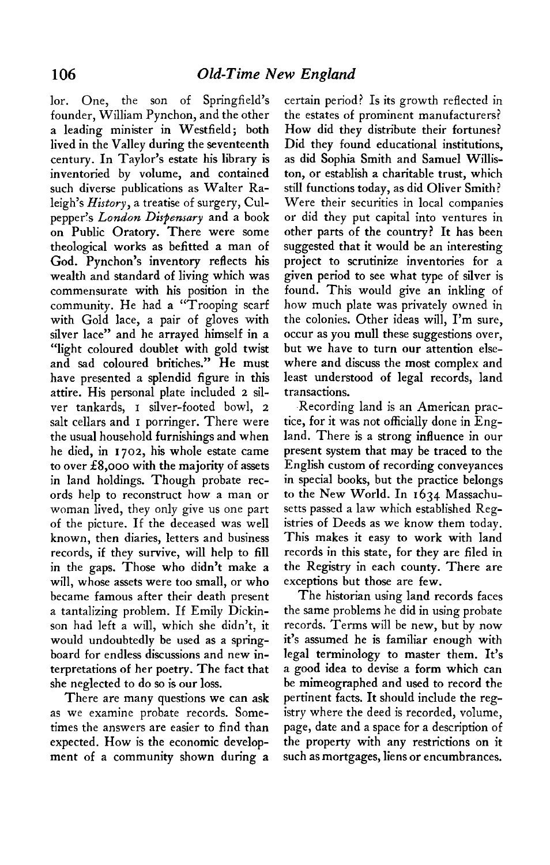**lor. One, the son of Springfield's founder, William Pynchon, and the other a leading minister in Westfield; both lived in the Valley during the seventeenth century. In Taylor's estate his library is inventoried by volume, and contained such diverse publications as Walter Raleigh's History, a treatise of surgery, Culpepper% London Dispensary and a book on Public Oratory. There were some theological works as befitted a man of God. Pynchon's inventory reflects his wealth and standard of living which was commensurate with his position in the community. He had a "Trooping scarf with Gold lace, a pair of gloves with silver lace" and he arrayed himself in a "light coloured doublet with gold twist and sad coloured britiches." He must have presented a splendid figure in this attire. His personal plate included 2 silver tankards, I silver-footed bowl, 2**  salt cellars and **I** porringer. There were **the usual household furnishings and when he died, in 1702, his whole estate came to over f 8,000 with the majority of assets in land holdings. Though probate records help to reconstruct how a man or woman lived, they only give us one part of the picture. If the deceased was well known, then diaries, letters and business records, if they survive, will help to fill in the gaps. Those who didn't make a will, whose assets were too small, or who became famous after their death present a tantalizing problem. If Emily Dickinson had left a will, which she didn't, it would undoubtedly be used as a springboard for endless discussions and new interpretations of her poetry. The fact that she neglected to do so is our loss.** 

**There are many questions we can ask as we examine probate records. Sometimes the answers are easier to find than expected. How is the economic development of a community shown during a** 

**certain period? Is its growth reflected in the estates of prominent manufacturers? How did they distribute their fortunes? Did they found educational institutions, as did Sophia Smith and Samuel Williston, or establish a charitable trust, which still functions today, as did Oliver Smith? Were their securities in local companies or did they put capital into ventures in other parts of the country? It has been suggested that it would be an interesting project to scrutinize inventories for a given period to see what type of silver is found. This would give an inkling of how much plate was privately owned in the colonies. Other ideas will, I'm sure, occur as you mull these suggestions over, but we have to turn our attention elsewhere and discuss the most complex and least understood of legal records, land transactions.** 

**-Recording land is an American practice, for it was not officially done in England. There is a strong influence in our present system that may be traced to the English custom of recording conveyances in special books, but the practice belongs to the New World. In 1634 Massachusetts passed a law which established Registries of Deeds as we know them today. This makes it easy to work with land records in this state, for they are filed in the Registry in each county. There are exceptions but those are few.** 

**The historian using land records faces the same problems he did in using probate records. Terms will be new, but by now it's assumed he is familiar enough with legal terminology to master them. It's a good idea to devise a form which can be mimeographed and used to record the pertinent facts. It should include the registry where the deed is recorded, volume, page, date and a space for a description of the property with any restrictions on it such as mortgages, liens or encumbrances.**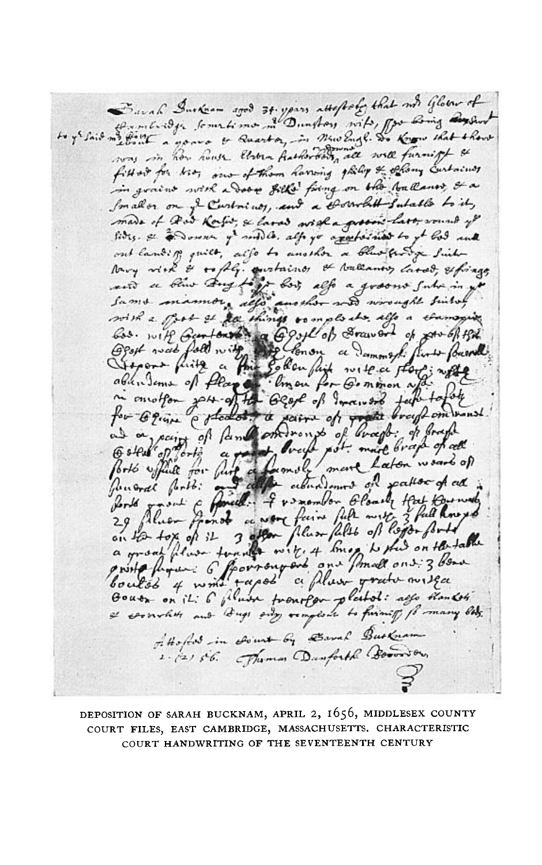Savah Durker agod 34. yours attofacto that not Glober of was in how house them hathorday all will furnist & fitted for his, one of them having gliling & offery curtains in grains with a Door gills fring on the ballance & a Small or on if Curtonicos, and a corrolatt Sulable to it, made of Rod Ross, & land wish a gross last, round of fires. & a Down y' suble, all yo applicated to yt God and out landiff quilt, also to another a blue forty Sichtory with & + fly. quatains & tolerances lards, esfinge and the a form of the state of the County of the found Juneral field: The allendames of patter of all in the fourth of the fourth of the fourth of the fourth of the fourth of the fourth of the fourth of the fourth of the fourth of the fourth of the fourth of the fourth of the Gouts on it. 6 fluor frontfor platol: affe than 64 I cornolit and Dugs only remplant to firming for many beds. Attofield in sound by Barrah Busknam 1. 121 56. Juman Danforth Boomson,

**DEPOSITION OF SARAH BUCKNAM, APRIL 2, 1656, MIDDLESEX COUNTY COURT FILES, EAST CAMBRIDGE, MASSACHUSETTS. CHARACTERISTIC COURT HANDWRITING OF THE SEVENTEENTH CENTURY**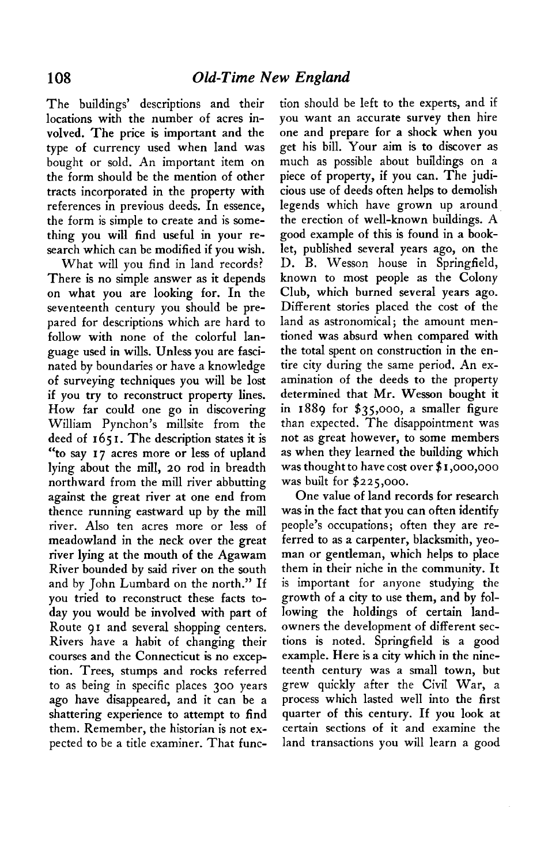**The buildings' descriptions and their locations with the number of acres involved. The price is important and the type of currency used when land was bought or sold. An important item on the form should be the mention of other tracts incorporated in the property with references in previous deeds. In essence, the form is simple to create and is something you will find useful in your research which can be modified if you wish.** 

**What will you find in land records? There is no simple answer as it depends on what you are looking for. In the seventeenth century you should be prepared for descriptions which are hard to follow with none of the colorful language used in wills. Unless you are fascinated by boundaries or have a knowledge of surveying techniques you will be lost if you try to reconstruct property lines. How far could one go in discovering William Pynchon's millsite from the deed of 165 I. The description states it is "to say 17 acres more or less of upland lying about the mill, 20 rod in breadth northward from the mill river abbutting against the great river at one end from thence running eastward up by the mill river. Also ten acres more or less of meadowland in the neck over the great river lying at the mouth of the Agawam River bounded by said river on the south and by John Lumbard on the north." If you tried to reconstruct these facts today you would be involved with part of Route 91 and several shopping centers. Rivers have a habit of changing their courses and the Connecticut is no exception. Trees, stumps and rocks referred to as being in specific places 300 years ago have disappeared, and it can be a shattering experience to attempt to find them. Remember, the historian is not expected to be a title examiner. That func-** **tion should be left to the experts, and if you want an accurate survey then hire one and prepare for a shock when you get his bill. Your aim is to discover as much as possible about buildings on a piece of property, if you can. The judicious use of deeds often helps to demolish legends which have grown up around the erection of well-known buildings. A good example of this is found in a booklet, published several years ago, on the D. B. Wesson house in Springfield, known to most people as the Colony Club, which burned several years ago. Different stories placed the cost of the land as astronomical; the amount mentioned was absurd when compared with the total spent on construction in the entire city during the same period. An examination of the deeds to the property determined that Mr. Wesson bought it in 1889 for \$35,000, a smaller figure than expected. The disappointment was not as great however, to some members as when they learned the building which was thought to have cost over \$ I ,ooo,ooo was built for \$225,000.** 

**One value of land records for research was in the fact that you can often identify people's occupations; often they are referred to as a carpenter, blacksmith, yeoman or gentleman, which helps to place them in their niche in the community. It is important for anyone studying the growth of a city to use them, and by following the holdings of certain landowners the development of different sections is noted. Springfield is a good example. Here is a city which in the nineteenth century was a small town, but grew quickly after the Civil War, a process which lasted well into the first quarter of this century. If you look at certain sections of it and examine the land transactions you will learn a good**